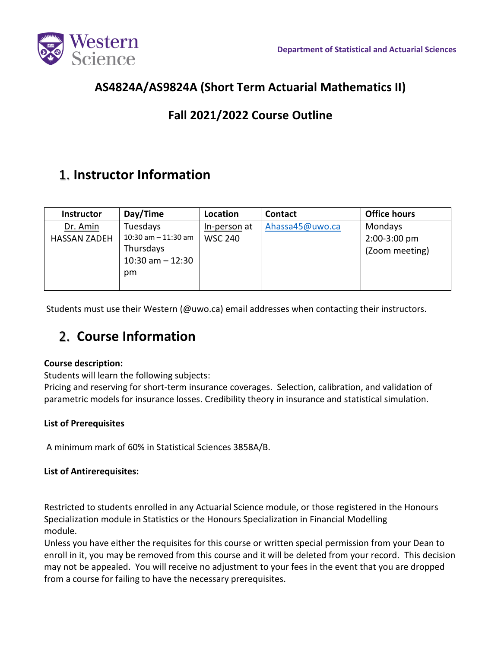

## **AS4824A/AS9824A (Short Term Actuarial Mathematics II)**

### **Fall 2021/2022 Course Outline**

## 1. **Instructor Information**

| Instructor          | Day/Time               | Location       | <b>Contact</b>  | <b>Office hours</b> |
|---------------------|------------------------|----------------|-----------------|---------------------|
| Dr. Amin            | Tuesdays               | In-person at   | Ahassa45@uwo.ca | Mondays             |
| <b>HASSAN ZADEH</b> | $10:30$ am $-11:30$ am | <b>WSC 240</b> |                 | 2:00-3:00 pm        |
|                     | Thursdays              |                |                 | (Zoom meeting)      |
|                     | $10:30$ am $- 12:30$   |                |                 |                     |
|                     | pm                     |                |                 |                     |
|                     |                        |                |                 |                     |

Students must use their Western (@uwo.ca) email addresses when contacting their instructors.

# 2. **Course Information**

### **Course description:**

Students will learn the following subjects:

Pricing and reserving for short-term insurance coverages. Selection, calibration, and validation of parametric models for insurance losses. Credibility theory in insurance and statistical simulation.

### **List of Prerequisites**

A minimum mark of 60% in Statistical Sciences 3858A/B.

### **List of Antirerequisites:**

Restricted to students enrolled in any Actuarial Science module, or those registered in the Honours Specialization module in Statistics or the Honours Specialization in Financial Modelling module.

Unless you have either the requisites for this course or written special permission from your Dean to enroll in it, you may be removed from this course and it will be deleted from your record. This decision may not be appealed. You will receive no adjustment to your fees in the event that you are dropped from a course for failing to have the necessary prerequisites.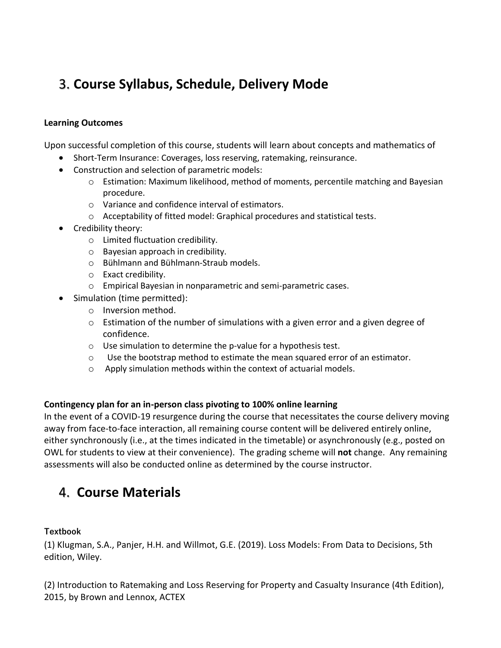# 3. **Course Syllabus, Schedule, Delivery Mode**

#### **Learning Outcomes**

Upon successful completion of this course, students will learn about concepts and mathematics of

- Short-Term Insurance: Coverages, loss reserving, ratemaking, reinsurance.
- Construction and selection of parametric models:
	- o Estimation: Maximum likelihood, method of moments, percentile matching and Bayesian procedure.
	- o Variance and confidence interval of estimators.
	- o Acceptability of fitted model: Graphical procedures and statistical tests.
- Credibility theory:
	- o Limited fluctuation credibility.
	- o Bayesian approach in credibility.
	- o Bühlmann and Bühlmann-Straub models.
	- o Exact credibility.
	- o Empirical Bayesian in nonparametric and semi-parametric cases.
- Simulation (time permitted):
	- o Inversion method.
	- $\circ$  Estimation of the number of simulations with a given error and a given degree of confidence.
	- o Use simulation to determine the p-value for a hypothesis test.
	- $\circ$  Use the bootstrap method to estimate the mean squared error of an estimator.
	- o Apply simulation methods within the context of actuarial models.

#### **Contingency plan for an in-person class pivoting to 100% online learning**

In the event of a COVID-19 resurgence during the course that necessitates the course delivery moving away from face-to-face interaction, all remaining course content will be delivered entirely online, either synchronously (i.e., at the times indicated in the timetable) or asynchronously (e.g., posted on OWL for students to view at their convenience). The grading scheme will **not** change. Any remaining assessments will also be conducted online as determined by the course instructor.

## 4. **Course Materials**

#### **Textbook**

(1) Klugman, S.A., Panjer, H.H. and Willmot, G.E. (2019). Loss Models: From Data to Decisions, 5th edition, Wiley.

(2) Introduction to Ratemaking and Loss Reserving for Property and Casualty Insurance (4th Edition), 2015, by Brown and Lennox, ACTEX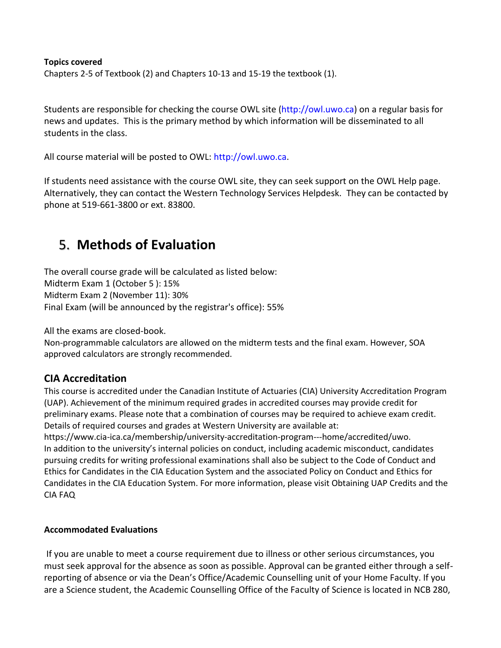#### **Topics covered**

Chapters 2-5 of Textbook (2) and Chapters 10-13 and 15-19 the textbook (1).

Students are responsible for checking the course OWL site (http://owl.uwo.ca) on a regular basis for news and updates. This is the primary method by which information will be disseminated to all students in the class.

All course material will be posted to OWL: http://owl.uwo.ca.

If students need assistance with the course OWL site, they can seek support on the OWL Help page. Alternatively, they can contact the Western Technology Services Helpdesk. They can be contacted by phone at 519-661-3800 or ext. 83800.

## 5. **Methods of Evaluation**

The overall course grade will be calculated as listed below: Midterm Exam 1 (October 5 ): 15% Midterm Exam 2 (November 11): 30% Final Exam (will be announced by the registrar's office): 55%

All the exams are closed-book.

Non-programmable calculators are allowed on the midterm tests and the final exam. However, SOA approved calculators are strongly recommended.

### **CIA Accreditation**

This course is accredited under the Canadian Institute of Actuaries (CIA) University Accreditation Program (UAP). Achievement of the minimum required grades in accredited courses may provide credit for preliminary exams. Please note that a combination of courses may be required to achieve exam credit. Details of required courses and grades at Western University are available at:

https://www.cia-ica.ca/membership/university-accreditation-program---home/accredited/uwo. In addition to the university's internal policies on conduct, including academic misconduct, candidates pursuing credits for writing professional examinations shall also be subject to the Code of Conduct and Ethics for Candidates in the CIA Education System and the associated Policy on Conduct and Ethics for Candidates in the CIA Education System. For more information, please visit Obtaining UAP Credits and the CIA FAQ

### **Accommodated Evaluations**

If you are unable to meet a course requirement due to illness or other serious circumstances, you must seek approval for the absence as soon as possible. Approval can be granted either through a selfreporting of absence or via the Dean's Office/Academic Counselling unit of your Home Faculty. If you are a Science student, the Academic Counselling Office of the Faculty of Science is located in NCB 280,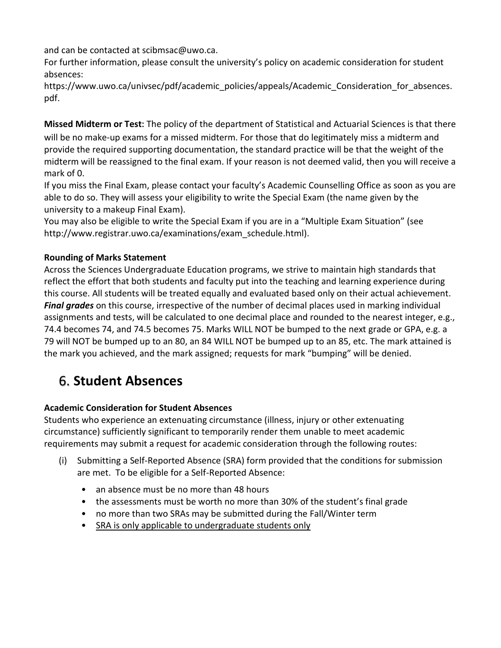and can be contacted at scibmsac@uwo.ca.

For further information, please consult the university's policy on academic consideration for student absences:

https://www.uwo.ca/univsec/pdf/academic\_policies/appeals/Academic\_Consideration\_for\_absences. pdf.

**Missed Midterm or Test:** The policy of the department of Statistical and Actuarial Sciences is that there will be no make-up exams for a missed midterm. For those that do legitimately miss a midterm and provide the required supporting documentation, the standard practice will be that the weight of the midterm will be reassigned to the final exam. If your reason is not deemed valid, then you will receive a mark of 0.

If you miss the Final Exam, please contact your faculty's Academic Counselling Office as soon as you are able to do so. They will assess your eligibility to write the Special Exam (the name given by the university to a makeup Final Exam).

You may also be eligible to write the Special Exam if you are in a "Multiple Exam Situation" (see http://www.registrar.uwo.ca/examinations/exam\_schedule.html).

### **Rounding of Marks Statement**

Across the Sciences Undergraduate Education programs, we strive to maintain high standards that reflect the effort that both students and faculty put into the teaching and learning experience during this course. All students will be treated equally and evaluated based only on their actual achievement. *Final grades* on this course, irrespective of the number of decimal places used in marking individual assignments and tests, will be calculated to one decimal place and rounded to the nearest integer, e.g., 74.4 becomes 74, and 74.5 becomes 75. Marks WILL NOT be bumped to the next grade or GPA, e.g. a 79 will NOT be bumped up to an 80, an 84 WILL NOT be bumped up to an 85, etc. The mark attained is the mark you achieved, and the mark assigned; requests for mark "bumping" will be denied.

# 6. **Student Absences**

### **Academic Consideration for Student Absences**

Students who experience an extenuating circumstance (illness, injury or other extenuating circumstance) sufficiently significant to temporarily render them unable to meet academic requirements may submit a request for academic consideration through the following routes:

- (i) Submitting a Self-Reported Absence (SRA) form provided that the conditions for submission are met. To be eligible for a Self-Reported Absence:
	- an absence must be no more than 48 hours
	- the assessments must be worth no more than 30% of the student's final grade
	- no more than two SRAs may be submitted during the Fall/Winter term
	- SRA is only applicable to undergraduate students only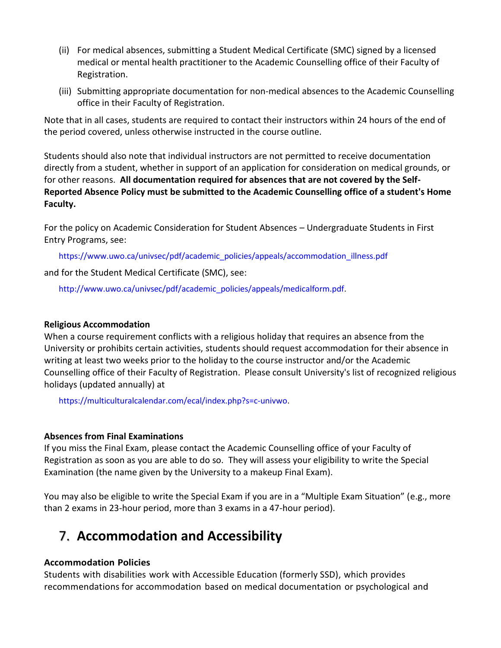- (ii) For medical absences, submitting a Student Medical Certificate (SMC) signed by a licensed medical or mental health practitioner to the Academic Counselling office of their Faculty of Registration.
- (iii) Submitting appropriate documentation for non-medical absences to the Academic Counselling office in their Faculty of Registration.

Note that in all cases, students are required to contact their instructors within 24 hours of the end of the period covered, unless otherwise instructed in the course outline.

Students should also note that individual instructors are not permitted to receive documentation directly from a student, whether in support of an application for consideration on medical grounds, or for other reasons. **All documentation required for absences that are not covered by the Self-Reported Absence Policy must be submitted to the Academic Counselling office of a student's Home Faculty.**

For the policy on Academic Consideration for Student Absences – Undergraduate Students in First Entry Programs, see:

https://www.uwo.ca/univsec/pdf/academic\_policies/appeals/accommodation\_illness.pdf

and for the Student Medical Certificate (SMC), see:

http://www.uwo.ca/univsec/pdf/academic\_policies/appeals/medicalform.pdf.

#### **Religious Accommodation**

When a course requirement conflicts with a religious holiday that requires an absence from the University or prohibits certain activities, students should request accommodation for their absence in writing at least two weeks prior to the holiday to the course instructor and/or the Academic Counselling office of their Faculty of Registration. Please consult University's list of recognized religious holidays (updated annually) at

https://multiculturalcalendar.com/ecal/index.php?s=c-univwo.

### **Absences from Final Examinations**

If you miss the Final Exam, please contact the Academic Counselling office of your Faculty of Registration as soon as you are able to do so. They will assess your eligibility to write the Special Examination (the name given by the University to a makeup Final Exam).

You may also be eligible to write the Special Exam if you are in a "Multiple Exam Situation" (e.g., more than 2 exams in 23-hour period, more than 3 exams in a 47-hour period).

# 7. **Accommodation and Accessibility**

### **Accommodation Policies**

Students with disabilities work with Accessible Education (formerly SSD), which provides recommendations for accommodation based on medical documentation or psychological and